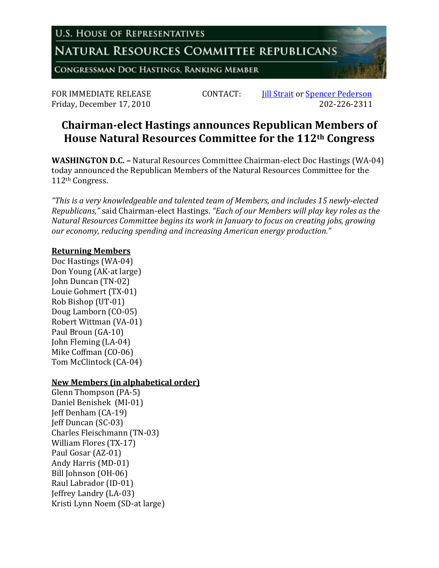**U.S. HOUSE OF REPRESENTATIVES** 

NATURAL RESOURCES COMMITTEE REPUBLICANS

CONGRESSMAN DOC HASTINGS, RANKING MEMBER

Friday, December 17, 2010

FOR IMMEDIATE RELEASE CONTACT: *Iill Strait* or <u>Spencer Pederson</u><br>Fridav. December 17, 2010 202-226-2311

## **Chairman-elect Hastings announces Republican Members of House Natural Resources Committee for the 112th Congress**

**WASHINGTON D.C. –** Natural Resources Committee Chairman-elect Doc Hastings (WA-04) today announced the Republican Members of the Natural Resources Committee for the 112th Congress.

*"This is a very knowledgeable and talented team of Members, and includes 15 newly-elected Republicans,"* said Chairman-elect Hastings. *"Each of our Members will play key roles as the Natural Resources Committee begins its work in January to focus on creating jobs, growing our economy, reducing spending and increasing American energy production."*

## **Returning Members**

Doc Hastings (WA-04) Don Young (AK-at large) John Duncan (TN-02) Louie Gohmert (TX-01) Rob Bishop (UT-01) Doug Lamborn (CO-05) Robert Wittman (VA-01) Paul Broun (GA-10) John Fleming (LA-04) Mike Coffman (CO-06) Tom McClintock (CA-04)

## **New Members (in alphabetical order)**

Glenn Thompson (PA-5) Daniel Benishek (MI-01) Jeff Denham (CA-19) Jeff Duncan (SC-03) Charles Fleischmann (TN-03) William Flores (TX-17) Paul Gosar (AZ-01) Andy Harris (MD-01) Bill Johnson (OH-06) Raul Labrador (ID-01) Jeffrey Landry (LA-03) Kristi Lynn Noem (SD-at large)